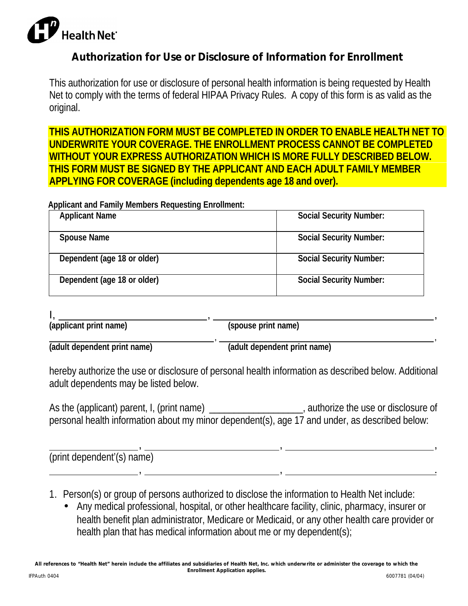

## **Authorization for Use or Disclosure of Information for Enrollment**

This authorization for use or disclosure of personal health information is being requested by Health Net to comply with the terms of federal HIPAA Privacy Rules. A copy of this form is as valid as the original.

**THIS AUTHORIZATION FORM MUST BE COMPLETED IN ORDER TO ENABLE HEALTH NET TO UNDERWRITE YOUR COVERAGE. THE ENROLLMENT PROCESS CANNOT BE COMPLETED WITHOUT YOUR EXPRESS AUTHORIZATION WHICH IS MORE FULLY DESCRIBED BELOW. THIS FORM MUST BE SIGNED BY THE APPLICANT AND EACH ADULT FAMILY MEMBER APPLYING FOR COVERAGE (including dependents age 18 and over).**

## **Applicant and Family Members Requesting Enrollment:**

| <b>Applicant Name</b>       | <b>Social Security Number:</b> |
|-----------------------------|--------------------------------|
| <b>Spouse Name</b>          | <b>Social Security Number:</b> |
| Dependent (age 18 or older) | <b>Social Security Number:</b> |
| Dependent (age 18 or older) | <b>Social Security Number:</b> |

I, , , **(applicant print name) (spouse print name)**

 , , **(adult dependent print name) (adult dependent print name)**

hereby authorize the use or disclosure of personal health information as described below. Additional adult dependents may be listed below.

As the (applicant) parent, I, (print name) and the use or disclosure of the use or disclosure of personal health information about my minor dependent(s), age 17 and under, as described below:

| (print dependent'(s) name) |  |
|----------------------------|--|
|                            |  |

- 1. Person(s) or group of persons authorized to disclose the information to Health Net include:
	- Any medical professional, hospital, or other healthcare facility, clinic, pharmacy, insurer or health benefit plan administrator, Medicare or Medicaid, or any other health care provider or health plan that has medical information about me or my dependent(s);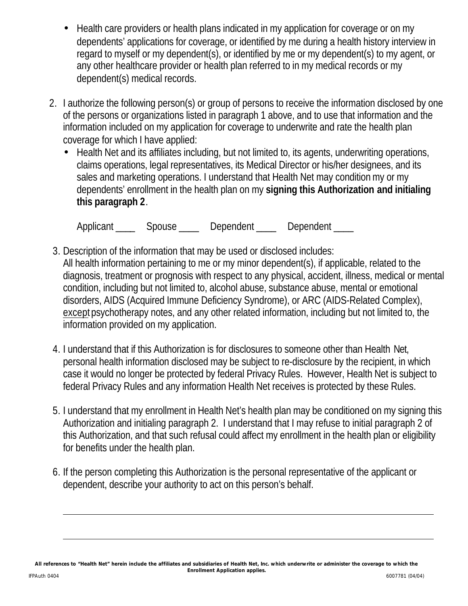- Health care providers or health plans indicated in my application for coverage or on my dependents' applications for coverage, or identified by me during a health history interview in regard to myself or my dependent(s), or identified by me or my dependent(s) to my agent, or any other healthcare provider or health plan referred to in my medical records or my dependent(s) medical records.
- 2. I authorize the following person(s) or group of persons to receive the information disclosed by one of the persons or organizations listed in paragraph 1 above, and to use that information and the information included on my application for coverage to underwrite and rate the health plan coverage for which I have applied:
	- Health Net and its affiliates including, but not limited to, its agents, underwriting operations, claims operations, legal representatives, its Medical Director or his/her designees, and its sales and marketing operations. I understand that Health Net may condition my or my dependents' enrollment in the health plan on my **signing this Authorization and initialing this paragraph 2**.

Applicant \_\_\_\_\_ Spouse \_\_\_\_ Dependent \_\_\_\_ Dependent \_\_\_\_

- 3. Description of the information that may be used or disclosed includes: All health information pertaining to me or my minor dependent(s), if applicable, related to the diagnosis, treatment or prognosis with respect to any physical, accident, illness, medical or mental condition, including but not limited to, alcohol abuse, substance abuse, mental or emotional disorders, AIDS (Acquired Immune Deficiency Syndrome), or ARC (AIDS-Related Complex), except psychotherapy notes, and any other related information, including but not limited to, the information provided on my application.
- 4. I understand that if this Authorization is for disclosures to someone other than Health Net, personal health information disclosed may be subject to re-disclosure by the recipient, in which case it would no longer be protected by federal Privacy Rules. However, Health Net is subject to federal Privacy Rules and any information Health Net receives is protected by these Rules.
- 5. I understand that my enrollment in Health Net's health plan may be conditioned on my signing this Authorization and initialing paragraph 2. I understand that I may refuse to initial paragraph 2 of this Authorization, and that such refusal could affect my enrollment in the health plan or eligibility for benefits under the health plan.
- 6. If the person completing this Authorization is the personal representative of the applicant or dependent, describe your authority to act on this person's behalf.

 $\overline{a}$ 

 $\overline{a}$